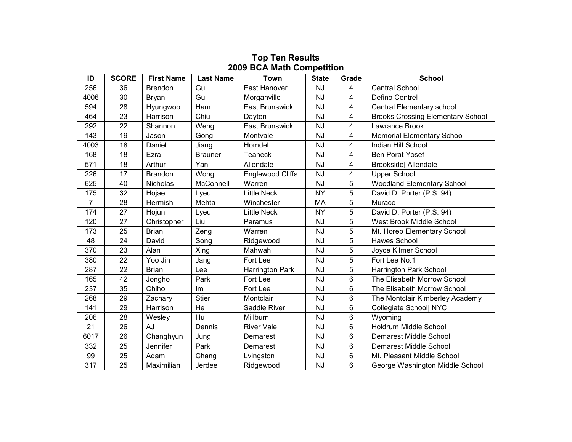| <b>Top Ten Results</b><br><b>2009 BCA Math Competition</b> |              |                   |                  |                         |              |                |                                          |  |  |  |  |
|------------------------------------------------------------|--------------|-------------------|------------------|-------------------------|--------------|----------------|------------------------------------------|--|--|--|--|
| ID                                                         | <b>SCORE</b> | <b>First Name</b> | <b>Last Name</b> | <b>Town</b>             | <b>State</b> | Grade          | <b>School</b>                            |  |  |  |  |
| 256                                                        | 36           | <b>Brendon</b>    | Gu               | East Hanover            | <b>NJ</b>    | $\overline{4}$ | <b>Central School</b>                    |  |  |  |  |
| 4006                                                       | 30           | <b>Brvan</b>      | Gu               | Morganville             | <b>NJ</b>    | 4              | Defino Centrel                           |  |  |  |  |
| 594                                                        | 28           | Hyungwoo          | Ham              | <b>East Brunswick</b>   | <b>NJ</b>    | 4              | Central Elementary school                |  |  |  |  |
| 464                                                        | 23           | Harrison          | Chiu             | Dayton                  | <b>NJ</b>    | 4              | <b>Brooks Crossing Elementary School</b> |  |  |  |  |
| 292                                                        | 22           | Shannon           | Weng             | <b>East Brunswick</b>   | <b>NJ</b>    | 4              | Lawrance Brook                           |  |  |  |  |
| 143                                                        | 19           | Jason             | Gong             | Montvale                | NJ           | $\overline{4}$ | <b>Memorial Elementary School</b>        |  |  |  |  |
| 4003                                                       | 18           | Daniel            | Jiang            | Homdel                  | <b>NJ</b>    | 4              | Indian Hill School                       |  |  |  |  |
| 168                                                        | 18           | Ezra              | <b>Brauner</b>   | <b>Teaneck</b>          | <b>NJ</b>    | $\overline{4}$ | <b>Ben Porat Yosef</b>                   |  |  |  |  |
| 571                                                        | 18           | Arthur            | Yan              | Allendale               | <b>NJ</b>    | 4              | <b>Brookside</b> Allendale               |  |  |  |  |
| 226                                                        | 17           | <b>Brandon</b>    | Wong             | <b>Englewood Cliffs</b> | <b>NJ</b>    | 4              | <b>Upper School</b>                      |  |  |  |  |
| 625                                                        | 40           | <b>Nicholas</b>   | McConnell        | Warren                  | <b>NJ</b>    | 5              | <b>Woodland Elementary School</b>        |  |  |  |  |
| 175                                                        | 32           | Hojae             | Lyeu             | <b>Little Neck</b>      | <b>NY</b>    | 5              | David D. Pprter (P.S. 94)                |  |  |  |  |
| $\overline{7}$                                             | 28           | Hermish           | Mehta            | Winchester              | <b>MA</b>    | 5              | Muraco                                   |  |  |  |  |
| 174                                                        | 27           | Hojun             | Lyeu             | <b>Little Neck</b>      | <b>NY</b>    | 5              | David D. Porter (P.S. 94)                |  |  |  |  |
| 120                                                        | 27           | Christopher       | Liu              | Paramus                 | NJ           | 5              | West Brook Middle School                 |  |  |  |  |
| 173                                                        | 25           | <b>Brian</b>      | Zeng             | Warren                  | <b>NJ</b>    | 5              | Mt. Horeb Elementary School              |  |  |  |  |
| 48                                                         | 24           | David             | Song             | Ridgewood               | <b>NJ</b>    | 5              | <b>Hawes School</b>                      |  |  |  |  |
| 370                                                        | 23           | Alan              | Xing             | Mahwah                  | <b>NJ</b>    | 5              | Joyce Kilmer School                      |  |  |  |  |
| 380                                                        | 22           | Yoo Jin           | Jang             | Fort Lee                | <b>NJ</b>    | $\overline{5}$ | Fort Lee No.1                            |  |  |  |  |
| 287                                                        | 22           | <b>Brian</b>      | Lee              | Harrington Park         | <b>NJ</b>    | 5              | Harrington Park School                   |  |  |  |  |
| 165                                                        | 42           | Jongho            | Park             | Fort Lee                | <b>NJ</b>    | 6              | The Elisabeth Morrow School              |  |  |  |  |
| 237                                                        | 35           | Chiho             | Im               | Fort Lee                | <b>NJ</b>    | 6              | The Elisabeth Morrow School              |  |  |  |  |
| 268                                                        | 29           | Zachary           | <b>Stier</b>     | Montclair               | <b>NJ</b>    | 6              | The Montclair Kimberley Academy          |  |  |  |  |
| 141                                                        | 29           | Harrison          | He               | Saddle River            | <b>NJ</b>    | 6              | Collegiate School  NYC                   |  |  |  |  |
| 206                                                        | 28           | Wesley            | Hu               | Millburn                | <b>NJ</b>    | 6              | Wyoming                                  |  |  |  |  |
| 21                                                         | 26           | AJ                | Dennis           | <b>River Vale</b>       | <b>NJ</b>    | 6              | Holdrum Middle School                    |  |  |  |  |
| 6017                                                       | 26           | Changhyun         | Jung             | Demarest                | <b>NJ</b>    | 6              | <b>Demarest Middle School</b>            |  |  |  |  |
| 332                                                        | 25           | Jennifer          | Park             | Demarest                | <b>NJ</b>    | 6              | Demarest Middle School                   |  |  |  |  |
| 99                                                         | 25           | Adam              | Chang            | Lvingston               | <b>NJ</b>    | 6              | Mt. Pleasant Middle School               |  |  |  |  |
| 317                                                        | 25           | Maximilian        | Jerdee           | Ridgewood               | <b>NJ</b>    | 6              | George Washington Middle School          |  |  |  |  |